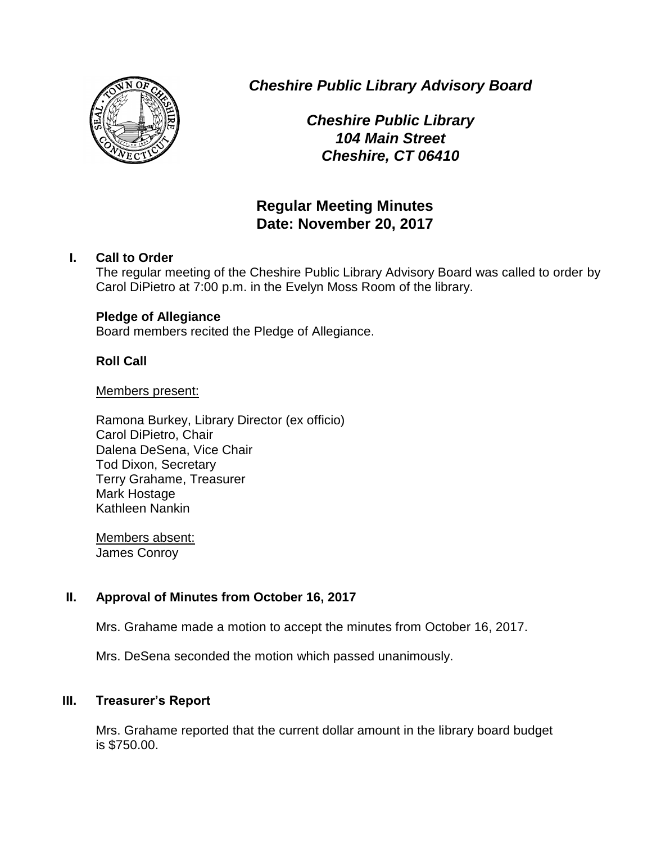

*Cheshire Public Library Advisory Board*

*Cheshire Public Library 104 Main Street Cheshire, CT 06410*

# **Regular Meeting Minutes Date: November 20, 2017**

# **I. Call to Order**

The regular meeting of the Cheshire Public Library Advisory Board was called to order by Carol DiPietro at 7:00 p.m. in the Evelyn Moss Room of the library.

### **Pledge of Allegiance**

Board members recited the Pledge of Allegiance.

### **Roll Call**

#### Members present:

Ramona Burkey, Library Director (ex officio) Carol DiPietro, Chair Dalena DeSena, Vice Chair Tod Dixon, Secretary Terry Grahame, Treasurer Mark Hostage Kathleen Nankin

Members absent: James Conroy

# **II. Approval of Minutes from October 16, 2017**

Mrs. Grahame made a motion to accept the minutes from October 16, 2017.

Mrs. DeSena seconded the motion which passed unanimously.

### **III. Treasurer's Report**

Mrs. Grahame reported that the current dollar amount in the library board budget is \$750.00.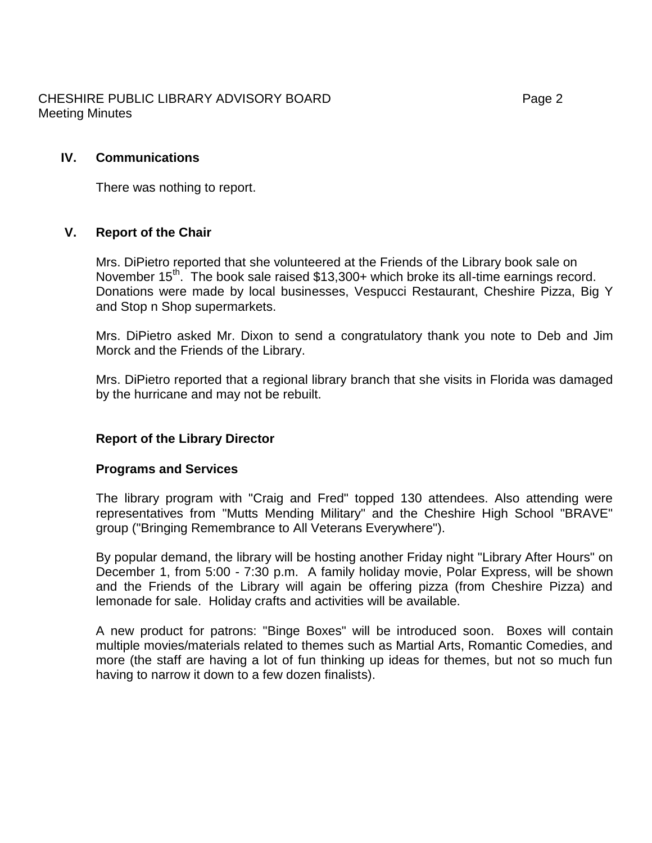# CHESHIRE PUBLIC LIBRARY ADVISORY BOARD Fage 2 Meeting Minutes

### **IV. Communications**

There was nothing to report.

### **V. Report of the Chair**

Mrs. DiPietro reported that she volunteered at the Friends of the Library book sale on November 15<sup>th.</sup> The book sale raised \$13,300+ which broke its all-time earnings record. Donations were made by local businesses, Vespucci Restaurant, Cheshire Pizza, Big Y and Stop n Shop supermarkets.

Mrs. DiPietro asked Mr. Dixon to send a congratulatory thank you note to Deb and Jim Morck and the Friends of the Library.

Mrs. DiPietro reported that a regional library branch that she visits in Florida was damaged by the hurricane and may not be rebuilt.

### **Report of the Library Director**

### **Programs and Services**

The library program with "Craig and Fred" topped 130 attendees. Also attending were representatives from "Mutts Mending Military" and the Cheshire High School "BRAVE" group ("Bringing Remembrance to All Veterans Everywhere").

By popular demand, the library will be hosting another Friday night "Library After Hours" on December 1, from 5:00 - 7:30 p.m. A family holiday movie, Polar Express, will be shown and the Friends of the Library will again be offering pizza (from Cheshire Pizza) and lemonade for sale. Holiday crafts and activities will be available.

A new product for patrons: "Binge Boxes" will be introduced soon. Boxes will contain multiple movies/materials related to themes such as Martial Arts, Romantic Comedies, and more (the staff are having a lot of fun thinking up ideas for themes, but not so much fun having to narrow it down to a few dozen finalists).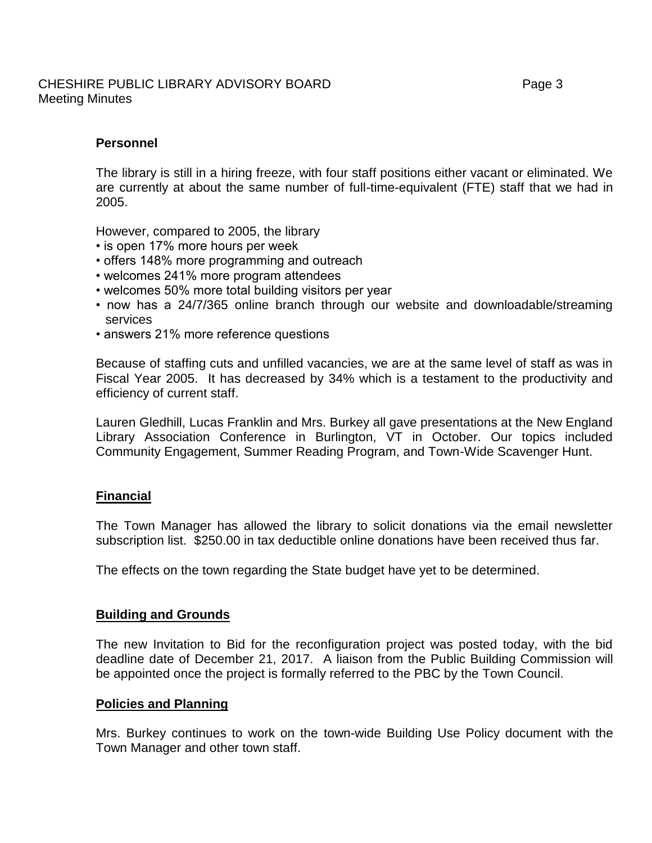#### CHESHIRE PUBLIC LIBRARY ADVISORY BOARD Fage 3 Meeting Minutes

# **Personnel**

The library is still in a hiring freeze, with four staff positions either vacant or eliminated. We are currently at about the same number of full-time-equivalent (FTE) staff that we had in 2005.

However, compared to 2005, the library

- is open 17% more hours per week
- offers 148% more programming and outreach
- welcomes 241% more program attendees
- welcomes 50% more total building visitors per year
- now has a 24/7/365 online branch through our website and downloadable/streaming services
- answers 21% more reference questions

Because of staffing cuts and unfilled vacancies, we are at the same level of staff as was in Fiscal Year 2005. It has decreased by 34% which is a testament to the productivity and efficiency of current staff.

Lauren Gledhill, Lucas Franklin and Mrs. Burkey all gave presentations at the New England Library Association Conference in Burlington, VT in October. Our topics included Community Engagement, Summer Reading Program, and Town-Wide Scavenger Hunt.

### **Financial**

The Town Manager has allowed the library to solicit donations via the email newsletter subscription list. \$250.00 in tax deductible online donations have been received thus far.

The effects on the town regarding the State budget have yet to be determined.

#### **Building and Grounds**

The new Invitation to Bid for the reconfiguration project was posted today, with the bid deadline date of December 21, 2017. A liaison from the Public Building Commission will be appointed once the project is formally referred to the PBC by the Town Council.

#### **Policies and Planning**

Mrs. Burkey continues to work on the town-wide Building Use Policy document with the Town Manager and other town staff.